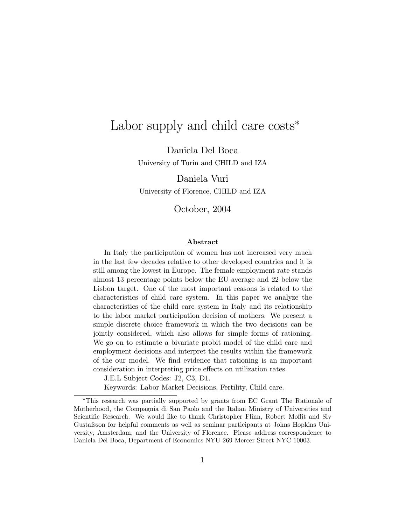# Labor supply and child care costs<sup>\*</sup>

Daniela Del Boca University of Turin and CHILD and IZA

Daniela Vuri

University of Florence, CHILD and IZA

October, 2004

#### Abstract

In Italy the participation of women has not increased very much in the last few decades relative to other developed countries and it is still among the lowest in Europe. The female employment rate stands almost 13 percentage points below the EU average and 22 below the Lisbon target. One of the most important reasons is related to the characteristics of child care system. In this paper we analyze the characteristics of the child care system in Italy and its relationship to the labor market participation decision of mothers. We present a simple discrete choice framework in which the two decisions can be jointly considered, which also allows for simple forms of rationing. We go on to estimate a bivariate probit model of the child care and employment decisions and interpret the results within the framework of the our model. We find evidence that rationing is an important consideration in interpreting price effects on utilization rates.

J.E.L Subject Codes: J2, C3, D1.

Keywords: Labor Market Decisions, Fertility, Child care.

<sup>∗</sup>This research was partially supported by grants from EC Grant The Rationale of Motherhood, the Compagnia di San Paolo and the Italian Ministry of Universities and Scientific Research. We would like to thank Christopher Flinn, Robert Moffit and Siv Gustafsson for helpful comments as well as seminar participants at Johns Hopkins University, Amsterdam, and the University of Florence. Please address correspondence to Daniela Del Boca, Department of Economics NYU 269 Mercer Street NYC 10003.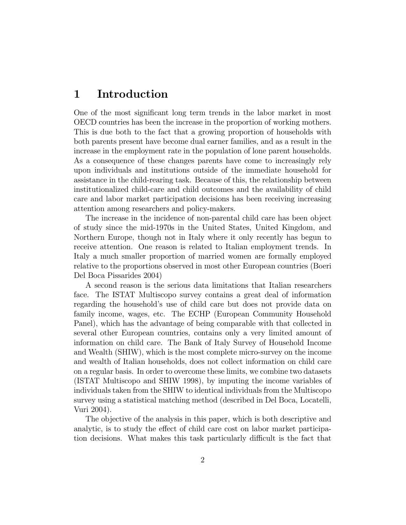### 1 Introduction

One of the most significant long term trends in the labor market in most OECD countries has been the increase in the proportion of working mothers. This is due both to the fact that a growing proportion of households with both parents present have become dual earner families, and as a result in the increase in the employment rate in the population of lone parent households. As a consequence of these changes parents have come to increasingly rely upon individuals and institutions outside of the immediate household for assistance in the child-rearing task. Because of this, the relationship between institutionalized child-care and child outcomes and the availability of child care and labor market participation decisions has been receiving increasing attention among researchers and policy-makers.

The increase in the incidence of non-parental child care has been object of study since the mid-1970s in the United States, United Kingdom, and Northern Europe, though not in Italy where it only recently has begun to receive attention. One reason is related to Italian employment trends. In Italy a much smaller proportion of married women are formally employed relative to the proportions observed in most other European countries (Boeri Del Boca Pissarides 2004)

A second reason is the serious data limitations that Italian researchers face. The ISTAT Multiscopo survey contains a great deal of information regarding the household's use of child care but does not provide data on family income, wages, etc. The ECHP (European Community Household Panel), which has the advantage of being comparable with that collected in several other European countries, contains only a very limited amount of information on child care. The Bank of Italy Survey of Household Income and Wealth (SHIW), which is the most complete micro-survey on the income and wealth of Italian households, does not collect information on child care on a regular basis. In order to overcome these limits, we combine two datasets (ISTAT Multiscopo and SHIW 1998), by imputing the income variables of individuals taken from the SHIW to identical individuals from the Multiscopo survey using a statistical matching method (described in Del Boca, Locatelli, Vuri 2004).

The objective of the analysis in this paper, which is both descriptive and analytic, is to study the effect of child care cost on labor market participation decisions. What makes this task particularly difficult is the fact that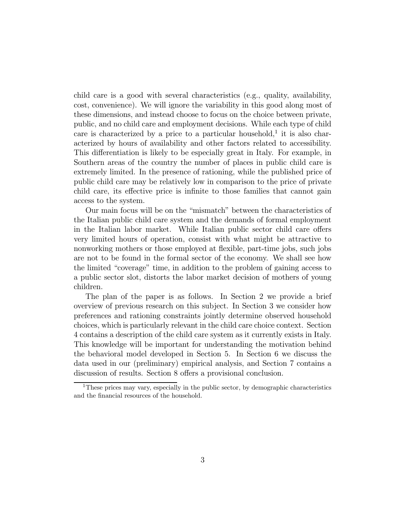child care is a good with several characteristics (e.g., quality, availability, cost, convenience). We will ignore the variability in this good along most of these dimensions, and instead choose to focus on the choice between private, public, and no child care and employment decisions. While each type of child care is characterized by a price to a particular household,<sup>1</sup> it is also characterized by hours of availability and other factors related to accessibility. This differentiation is likely to be especially great in Italy. For example, in Southern areas of the country the number of places in public child care is extremely limited. In the presence of rationing, while the published price of public child care may be relatively low in comparison to the price of private child care, its effective price is infinite to those families that cannot gain access to the system.

Our main focus will be on the "mismatch" between the characteristics of the Italian public child care system and the demands of formal employment in the Italian labor market. While Italian public sector child care offers very limited hours of operation, consist with what might be attractive to nonworking mothers or those employed at flexible, part-time jobs, such jobs are not to be found in the formal sector of the economy. We shall see how the limited "coverage" time, in addition to the problem of gaining access to a public sector slot, distorts the labor market decision of mothers of young children.

The plan of the paper is as follows. In Section 2 we provide a brief overview of previous research on this subject. In Section 3 we consider how preferences and rationing constraints jointly determine observed household choices, which is particularly relevant in the child care choice context. Section 4 contains a description of the child care system as it currently exists in Italy. This knowledge will be important for understanding the motivation behind the behavioral model developed in Section 5. In Section 6 we discuss the data used in our (preliminary) empirical analysis, and Section 7 contains a discussion of results. Section 8 offers a provisional conclusion.

<sup>&</sup>lt;sup>1</sup>These prices may vary, especially in the public sector, by demographic characteristics and the financial resources of the household.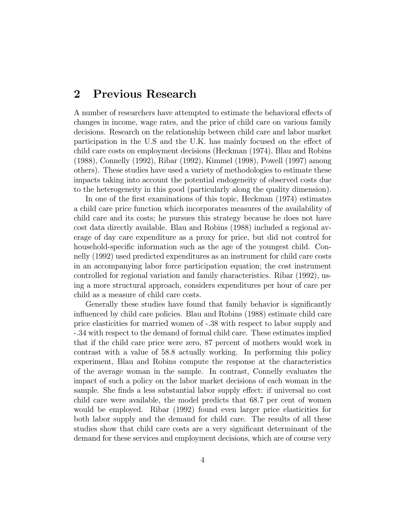### 2 Previous Research

A number of researchers have attempted to estimate the behavioral effects of changes in income, wage rates, and the price of child care on various family decisions. Research on the relationship between child care and labor market participation in the U.S and the U.K. has mainly focused on the effect of child care costs on employment decisions (Heckman (1974), Blau and Robins (1988), Connelly (1992), Ribar (1992), Kimmel (1998), Powell (1997) among others). These studies have used a variety of methodologies to estimate these impacts taking into account the potential endogeneity of observed costs due to the heterogeneity in this good (particularly along the quality dimension).

In one of the first examinations of this topic, Heckman (1974) estimates a child care price function which incorporates measures of the availability of child care and its costs; he pursues this strategy because he does not have cost data directly available. Blau and Robins (1988) included a regional average of day care expenditure as a proxy for price, but did not control for household-specific information such as the age of the youngest child. Connelly (1992) used predicted expenditures as an instrument for child care costs in an accompanying labor force participation equation; the cost instrument controlled for regional variation and family characteristics. Ribar (1992), using a more structural approach, considers expenditures per hour of care per child as a measure of child care costs.

Generally these studies have found that family behavior is significantly influenced by child care policies. Blau and Robins (1988) estimate child care price elasticities for married women of -.38 with respect to labor supply and -.34 with respect to the demand of formal child care. These estimates implied that if the child care price were zero, 87 percent of mothers would work in contrast with a value of 58.8 actually working. In performing this policy experiment, Blau and Robins compute the response at the characteristics of the average woman in the sample. In contrast, Connelly evaluates the impact of such a policy on the labor market decisions of each woman in the sample. She finds a less substantial labor supply effect: if universal no cost child care were available, the model predicts that 68.7 per cent of women would be employed. Ribar (1992) found even larger price elasticities for both labor supply and the demand for child care. The results of all these studies show that child care costs are a very significant determinant of the demand for these services and employment decisions, which are of course very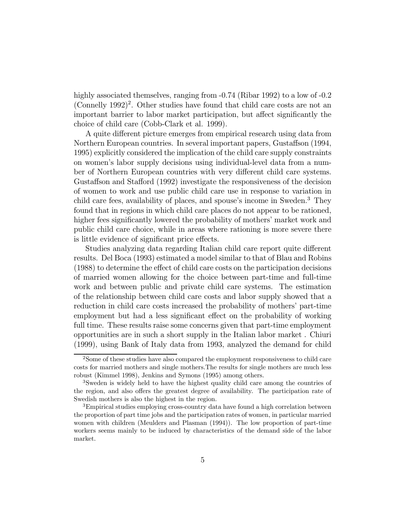highly associated themselves, ranging from  $-0.74$  (Ribar 1992) to a low of  $-0.2$ (Connelly  $1992$ )<sup>2</sup>. Other studies have found that child care costs are not an important barrier to labor market participation, but affect significantly the choice of child care (Cobb-Clark et al. 1999).

A quite different picture emerges from empirical research using data from Northern European countries. In several important papers, Gustaffson (1994, 1995) explicitly considered the implication of the child care supply constraints on women's labor supply decisions using individual-level data from a number of Northern European countries with very different child care systems. Gustaffson and Stafford (1992) investigate the responsiveness of the decision of women to work and use public child care use in response to variation in child care fees, availability of places, and spouse's income in Sweden.<sup>3</sup> They found that in regions in which child care places do not appear to be rationed, higher fees significantly lowered the probability of mothers' market work and public child care choice, while in areas where rationing is more severe there is little evidence of significant price effects.

Studies analyzing data regarding Italian child care report quite different results. Del Boca (1993) estimated a model similar to that of Blau and Robins (1988) to determine the effect of child care costs on the participation decisions of married women allowing for the choice between part-time and full-time work and between public and private child care systems. The estimation of the relationship between child care costs and labor supply showed that a reduction in child care costs increased the probability of mothers' part-time employment but had a less significant effect on the probability of working full time. These results raise some concerns given that part-time employment opportunities are in such a short supply in the Italian labor market . Chiuri (1999), using Bank of Italy data from 1993, analyzed the demand for child

<sup>2</sup>Some of these studies have also compared the employment responsiveness to child care costs for married mothers and single mothers.The results for single mothers are much less robust (Kimmel 1998), Jenkins and Symons (1995) among others.

<sup>3</sup>Sweden is widely held to have the highest quality child care among the countries of the region, and also offers the greatest degree of availability. The participation rate of Swedish mothers is also the highest in the region.

<sup>&</sup>lt;sup>3</sup>Empirical studies employing cross-country data have found a high correlation between the proportion of part time jobs and the participation rates of women, in particular married women with children (Meulders and Plasman (1994)). The low proportion of part-time workers seems mainly to be induced by characteristics of the demand side of the labor market.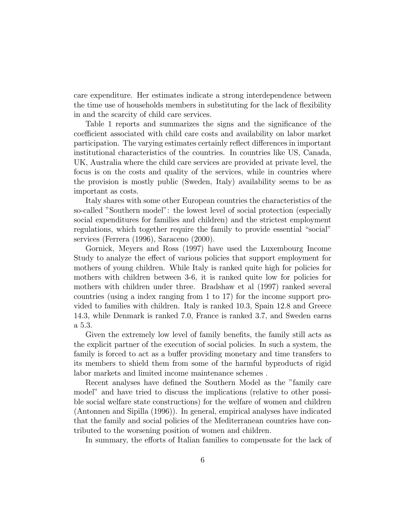care expenditure. Her estimates indicate a strong interdependence between the time use of households members in substituting for the lack of flexibility in and the scarcity of child care services.

Table 1 reports and summarizes the signs and the significance of the coefficient associated with child care costs and availability on labor market participation. The varying estimates certainly reflect differences in important institutional characteristics of the countries. In countries like US, Canada, UK, Australia where the child care services are provided at private level, the focus is on the costs and quality of the services, while in countries where the provision is mostly public (Sweden, Italy) availability seems to be as important as costs.

Italy shares with some other European countries the characteristics of the so-called "Southern model": the lowest level of social protection (especially social expenditures for families and children) and the strictest employment regulations, which together require the family to provide essential "social" services (Ferrera (1996), Saraceno (2000).

Gornick, Meyers and Ross (1997) have used the Luxembourg Income Study to analyze the effect of various policies that support employment for mothers of young children. While Italy is ranked quite high for policies for mothers with children between 3-6, it is ranked quite low for policies for mothers with children under three. Bradshaw et al (1997) ranked several countries (using a index ranging from 1 to 17) for the income support provided to families with children. Italy is ranked 10.3, Spain 12.8 and Greece 14.3, while Denmark is ranked 7.0, France is ranked 3.7, and Sweden earns a 5.3.

Given the extremely low level of family benefits, the family still acts as the explicit partner of the execution of social policies. In such a system, the family is forced to act as a buffer providing monetary and time transfers to its members to shield them from some of the harmful byproducts of rigid labor markets and limited income maintenance schemes .

Recent analyses have defined the Southern Model as the "family care model" and have tried to discuss the implications (relative to other possible social welfare state constructions) for the welfare of women and children (Antonnen and Sipilla (1996)). In general, empirical analyses have indicated that the family and social policies of the Mediterranean countries have contributed to the worsening position of women and children.

In summary, the efforts of Italian families to compensate for the lack of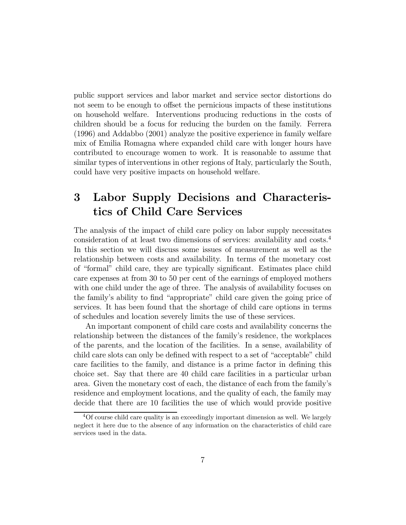public support services and labor market and service sector distortions do not seem to be enough to offset the pernicious impacts of these institutions on household welfare. Interventions producing reductions in the costs of children should be a focus for reducing the burden on the family. Ferrera (1996) and Addabbo (2001) analyze the positive experience in family welfare mix of Emilia Romagna where expanded child care with longer hours have contributed to encourage women to work. It is reasonable to assume that similar types of interventions in other regions of Italy, particularly the South, could have very positive impacts on household welfare.

# 3 Labor Supply Decisions and Characteristics of Child Care Services

The analysis of the impact of child care policy on labor supply necessitates consideration of at least two dimensions of services: availability and costs.<sup>4</sup> In this section we will discuss some issues of measurement as well as the relationship between costs and availability. In terms of the monetary cost of "formal" child care, they are typically significant. Estimates place child care expenses at from 30 to 50 per cent of the earnings of employed mothers with one child under the age of three. The analysis of availability focuses on the family's ability to find "appropriate" child care given the going price of services. It has been found that the shortage of child care options in terms of schedules and location severely limits the use of these services.

An important component of child care costs and availability concerns the relationship between the distances of the family's residence, the workplaces of the parents, and the location of the facilities. In a sense, availability of child care slots can only be defined with respect to a set of "acceptable" child care facilities to the family, and distance is a prime factor in defining this choice set. Say that there are 40 child care facilities in a particular urban area. Given the monetary cost of each, the distance of each from the family's residence and employment locations, and the quality of each, the family may decide that there are 10 facilities the use of which would provide positive

<sup>&</sup>lt;sup>4</sup>Of course child care quality is an exceedingly important dimension as well. We largely neglect it here due to the absence of any information on the characteristics of child care services used in the data.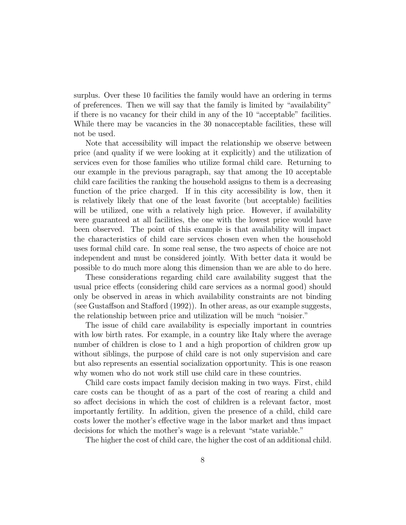surplus. Over these 10 facilities the family would have an ordering in terms of preferences. Then we will say that the family is limited by "availability" if there is no vacancy for their child in any of the 10 "acceptable" facilities. While there may be vacancies in the 30 nonacceptable facilities, these will not be used.

Note that accessibility will impact the relationship we observe between price (and quality if we were looking at it explicitly) and the utilization of services even for those families who utilize formal child care. Returning to our example in the previous paragraph, say that among the 10 acceptable child care facilities the ranking the household assigns to them is a decreasing function of the price charged. If in this city accessibility is low, then it is relatively likely that one of the least favorite (but acceptable) facilities will be utilized, one with a relatively high price. However, if availability were guaranteed at all facilities, the one with the lowest price would have been observed. The point of this example is that availability will impact the characteristics of child care services chosen even when the household uses formal child care. In some real sense, the two aspects of choice are not independent and must be considered jointly. With better data it would be possible to do much more along this dimension than we are able to do here.

These considerations regarding child care availability suggest that the usual price effects (considering child care services as a normal good) should only be observed in areas in which availability constraints are not binding (see Gustaffson and Stafford (1992)). In other areas, as our example suggests, the relationship between price and utilization will be much "noisier."

The issue of child care availability is especially important in countries with low birth rates. For example, in a country like Italy where the average number of children is close to 1 and a high proportion of children grow up without siblings, the purpose of child care is not only supervision and care but also represents an essential socialization opportunity. This is one reason why women who do not work still use child care in these countries.

Child care costs impact family decision making in two ways. First, child care costs can be thought of as a part of the cost of rearing a child and so affect decisions in which the cost of children is a relevant factor, most importantly fertility. In addition, given the presence of a child, child care costs lower the mother's effective wage in the labor market and thus impact decisions for which the mother's wage is a relevant "state variable."

The higher the cost of child care, the higher the cost of an additional child.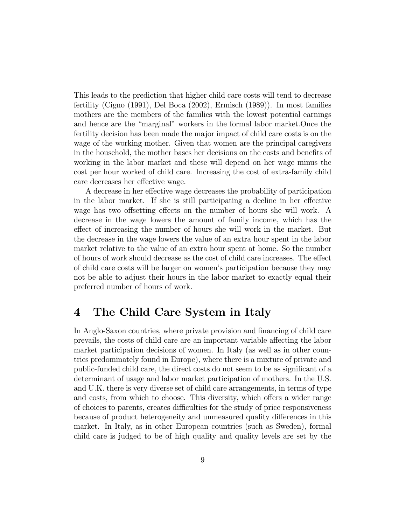This leads to the prediction that higher child care costs will tend to decrease fertility (Cigno (1991), Del Boca (2002), Ermisch (1989)). In most families mothers are the members of the families with the lowest potential earnings and hence are the "marginal" workers in the formal labor market.Once the fertility decision has been made the major impact of child care costs is on the wage of the working mother. Given that women are the principal caregivers in the household, the mother bases her decisions on the costs and benefits of working in the labor market and these will depend on her wage minus the cost per hour worked of child care. Increasing the cost of extra-family child care decreases her effective wage.

A decrease in her effective wage decreases the probability of participation in the labor market. If she is still participating a decline in her effective wage has two offsetting effects on the number of hours she will work. A decrease in the wage lowers the amount of family income, which has the effect of increasing the number of hours she will work in the market. But the decrease in the wage lowers the value of an extra hour spent in the labor market relative to the value of an extra hour spent at home. So the number of hours of work should decrease as the cost of child care increases. The effect of child care costs will be larger on women's participation because they may not be able to adjust their hours in the labor market to exactly equal their preferred number of hours of work.

# 4 The Child Care System in Italy

In Anglo-Saxon countries, where private provision and financing of child care prevails, the costs of child care are an important variable affecting the labor market participation decisions of women. In Italy (as well as in other countries predominately found in Europe), where there is a mixture of private and public-funded child care, the direct costs do not seem to be as significant of a determinant of usage and labor market participation of mothers. In the U.S. and U.K. there is very diverse set of child care arrangements, in terms of type and costs, from which to choose. This diversity, which offers a wider range of choices to parents, creates difficulties for the study of price responsiveness because of product heterogeneity and unmeasured quality differences in this market. In Italy, as in other European countries (such as Sweden), formal child care is judged to be of high quality and quality levels are set by the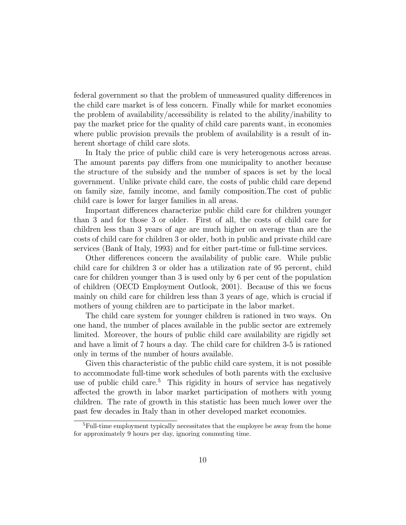federal government so that the problem of unmeasured quality differences in the child care market is of less concern. Finally while for market economies the problem of availability/accessibility is related to the ability/inability to pay the market price for the quality of child care parents want, in economies where public provision prevails the problem of availability is a result of inherent shortage of child care slots.

In Italy the price of public child care is very heterogenous across areas. The amount parents pay differs from one municipality to another because the structure of the subsidy and the number of spaces is set by the local government. Unlike private child care, the costs of public child care depend on family size, family income, and family composition.The cost of public child care is lower for larger families in all areas.

Important differences characterize public child care for children younger than 3 and for those 3 or older. First of all, the costs of child care for children less than 3 years of age are much higher on average than are the costs of child care for children 3 or older, both in public and private child care services (Bank of Italy, 1993) and for either part-time or full-time services.

Other differences concern the availability of public care. While public child care for children 3 or older has a utilization rate of 95 percent, child care for children younger than 3 is used only by 6 per cent of the population of children (OECD Employment Outlook, 2001). Because of this we focus mainly on child care for children less than 3 years of age, which is crucial if mothers of young children are to participate in the labor market.

The child care system for younger children is rationed in two ways. On one hand, the number of places available in the public sector are extremely limited. Moreover, the hours of public child care availability are rigidly set and have a limit of 7 hours a day. The child care for children 3-5 is rationed only in terms of the number of hours available.

Given this characteristic of the public child care system, it is not possible to accommodate full-time work schedules of both parents with the exclusive use of public child care.<sup>5</sup> This rigidity in hours of service has negatively affected the growth in labor market participation of mothers with young children. The rate of growth in this statistic has been much lower over the past few decades in Italy than in other developed market economies.

<sup>5</sup>Full-time employment typically necessitates that the employee be away from the home for approximately 9 hours per day, ignoring commuting time.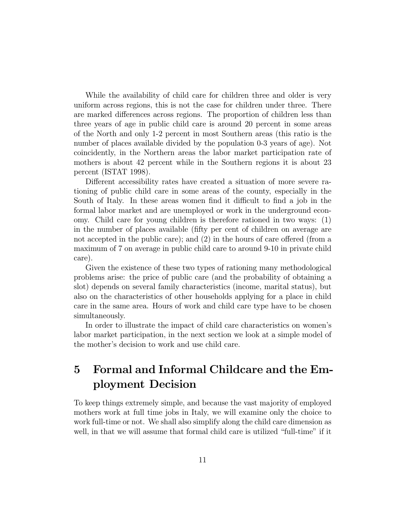While the availability of child care for children three and older is very uniform across regions, this is not the case for children under three. There are marked differences across regions. The proportion of children less than three years of age in public child care is around 20 percent in some areas of the North and only 1-2 percent in most Southern areas (this ratio is the number of places available divided by the population 0-3 years of age). Not coincidently, in the Northern areas the labor market participation rate of mothers is about 42 percent while in the Southern regions it is about 23 percent (ISTAT 1998).

Different accessibility rates have created a situation of more severe rationing of public child care in some areas of the county, especially in the South of Italy. In these areas women find it difficult to find a job in the formal labor market and are unemployed or work in the underground economy. Child care for young children is therefore rationed in two ways: (1) in the number of places available (fifty per cent of children on average are not accepted in the public care); and (2) in the hours of care offered (from a maximum of 7 on average in public child care to around 9-10 in private child care).

Given the existence of these two types of rationing many methodological problems arise: the price of public care (and the probability of obtaining a slot) depends on several family characteristics (income, marital status), but also on the characteristics of other households applying for a place in child care in the same area. Hours of work and child care type have to be chosen simultaneously.

In order to illustrate the impact of child care characteristics on women's labor market participation, in the next section we look at a simple model of the mother's decision to work and use child care.

# 5 Formal and Informal Childcare and the Employment Decision

To keep things extremely simple, and because the vast majority of employed mothers work at full time jobs in Italy, we will examine only the choice to work full-time or not. We shall also simplify along the child care dimension as well, in that we will assume that formal child care is utilized "full-time" if it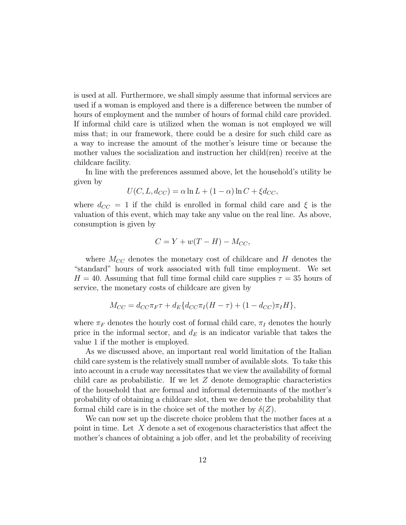is used at all. Furthermore, we shall simply assume that informal services are used if a woman is employed and there is a difference between the number of hours of employment and the number of hours of formal child care provided. If informal child care is utilized when the woman is not employed we will miss that; in our framework, there could be a desire for such child care as a way to increase the amount of the mother's leisure time or because the mother values the socialization and instruction her child(ren) receive at the childcare facility.

In line with the preferences assumed above, let the household's utility be given by

$$
U(C, L, d_{CC}) = \alpha \ln L + (1 - \alpha) \ln C + \xi d_{CC},
$$

where  $d_{CC} = 1$  if the child is enrolled in formal child care and  $\xi$  is the valuation of this event, which may take any value on the real line. As above, consumption is given by

$$
C = Y + w(T - H) - M_{CC},
$$

where  $M_{CC}$  denotes the monetary cost of childcare and H denotes the "standard" hours of work associated with full time employment. We set  $H = 40$ . Assuming that full time formal child care supplies  $\tau = 35$  hours of service, the monetary costs of childcare are given by

$$
M_{CC} = d_{CC}\pi_F \tau + d_E \{ d_{CC}\pi_I (H - \tau) + (1 - d_{CC})\pi_I H \},\
$$

where  $\pi_F$  denotes the hourly cost of formal child care,  $\pi_I$  denotes the hourly price in the informal sector, and  $d_E$  is an indicator variable that takes the value 1 if the mother is employed.

As we discussed above, an important real world limitation of the Italian child care system is the relatively small number of available slots. To take this into account in a crude way necessitates that we view the availability of formal child care as probabilistic. If we let  $Z$  denote demographic characteristics of the household that are formal and informal determinants of the mother's probability of obtaining a childcare slot, then we denote the probability that formal child care is in the choice set of the mother by  $\delta(Z)$ .

We can now set up the discrete choice problem that the mother faces at a point in time. Let X denote a set of exogenous characteristics that affect the mother's chances of obtaining a job offer, and let the probability of receiving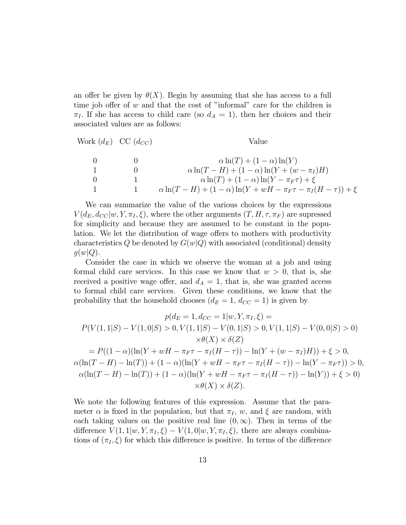an offer be given by  $\theta(X)$ . Begin by assuming that she has access to a full time job offer of  $w$  and that the cost of "informal" care for the children is  $\pi_I$ . If she has access to child care (so  $d_A = 1$ ), then her choices and their associated values are as follows:

Work 
$$
(d_E)
$$
 CC  $(d_{CC})$   
\n0 0  
\n1 0  
\n $\alpha \ln(T) + (1 - \alpha) \ln(Y)$   
\n1 0  
\n $\alpha \ln(T - H) + (1 - \alpha) \ln(Y + (w - \pi_I)H)$   
\n0 1  
\n $\alpha \ln(T) + (1 - \alpha) \ln(Y - \pi_F \tau) + \xi$   
\n1 1  $\alpha \ln(T - H) + (1 - \alpha) \ln(Y + wH - \pi_F \tau - \pi_I (H - \tau)) + \xi$ 

We can summarize the value of the various choices by the expressions  $V(d_E, d_{CC}|w, Y, \pi_I, \xi)$ , where the other arguments  $(T, H, \tau, \pi_F)$  are supressed for simplicity and because they are assumed to be constant in the population. We let the distribution of wage offers to mothers with productivity characteristics Q be denoted by  $G(w|Q)$  with associated (conditional) density  $g(w|Q)$ .

Consider the case in which we observe the woman at a job and using formal child care services. In this case we know that  $w > 0$ , that is, she received a positive wage offer, and  $d_A = 1$ , that is, she was granted access to formal child care services. Given these conditions, we know that the probability that the household chooses  $(d_E = 1, d_{CC} = 1)$  is given by

$$
p(d_E = 1, d_{CC} = 1|w, Y, \pi_I, \xi) =
$$
  
\n
$$
P(V(1, 1|S) - V(1, 0|S) > 0, V(1, 1|S) - V(0, 1|S) > 0, V(1, 1|S) - V(0, 0|S) > 0)
$$
  
\n
$$
\times \theta(X) \times \delta(Z)
$$
  
\n
$$
= P((1 - \alpha)(\ln(Y + wH - \pi_F \tau - \pi_I(H - \tau)) - \ln(Y + (w - \pi_I)H)) + \xi > 0,
$$
  
\n
$$
\alpha(\ln(T - H) - \ln(T)) + (1 - \alpha)(\ln(Y + wH - \pi_F \tau - \pi_I(H - \tau)) - \ln(Y - \pi_F \tau)) > 0,
$$
  
\n
$$
\alpha(\ln(T - H) - \ln(T)) + (1 - \alpha)(\ln(Y + wH - \pi_F \tau - \pi_I(H - \tau)) - \ln(Y)) + \xi > 0)
$$
  
\n
$$
\times \theta(X) \times \delta(Z).
$$

We note the following features of this expression. Assume that the parameter  $\alpha$  is fixed in the population, but that  $\pi_I$ , w, and  $\xi$  are random, with each taking values on the positive real line  $(0, \infty)$ . Then in terms of the difference  $V(1, 1|w, Y, \pi_I, \xi) - V(1, 0|w, Y, \pi_I, \xi)$ , there are always combinations of  $(\pi_I, \xi)$  for which this difference is positive. In terms of the difference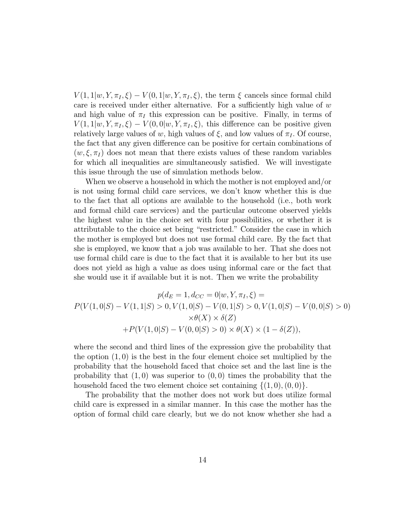$V(1, 1|w, Y, \pi_I, \xi) - V(0, 1|w, Y, \pi_I, \xi)$ , the term  $\xi$  cancels since formal child care is received under either alternative. For a sufficiently high value of  $w$ and high value of  $\pi_I$  this expression can be positive. Finally, in terms of  $V(1, 1|w, Y, \pi_I, \xi) - V(0, 0|w, Y, \pi_I, \xi)$ , this difference can be positive given relatively large values of w, high values of  $\xi$ , and low values of  $\pi_I$ . Of course, the fact that any given difference can be positive for certain combinations of  $(w, \xi, \pi_I)$  does not mean that there exists values of these random variables for which all inequalities are simultaneously satisfied. We will investigate this issue through the use of simulation methods below.

When we observe a household in which the mother is not employed and/or is not using formal child care services, we don't know whether this is due to the fact that all options are available to the household (i.e., both work and formal child care services) and the particular outcome observed yields the highest value in the choice set with four possibilities, or whether it is attributable to the choice set being "restricted." Consider the case in which the mother is employed but does not use formal child care. By the fact that she is employed, we know that a job was available to her. That she does not use formal child care is due to the fact that it is available to her but its use does not yield as high a value as does using informal care or the fact that she would use it if available but it is not. Then we write the probability

$$
p(d_E = 1, d_{CC} = 0|w, Y, \pi_I, \xi) =
$$
  
\n
$$
P(V(1, 0|S) - V(1, 1|S) > 0, V(1, 0|S) - V(0, 1|S) > 0, V(1, 0|S) - V(0, 0|S) > 0)
$$
  
\n
$$
\times \theta(X) \times \delta(Z)
$$
  
\n
$$
+ P(V(1, 0|S) - V(0, 0|S) > 0) \times \theta(X) \times (1 - \delta(Z)),
$$

where the second and third lines of the expression give the probability that the option  $(1,0)$  is the best in the four element choice set multiplied by the probability that the household faced that choice set and the last line is the probability that  $(1, 0)$  was superior to  $(0, 0)$  times the probability that the household faced the two element choice set containing  $\{(1,0), (0, 0)\}.$ 

The probability that the mother does not work but does utilize formal child care is expressed in a similar manner. In this case the mother has the option of formal child care clearly, but we do not know whether she had a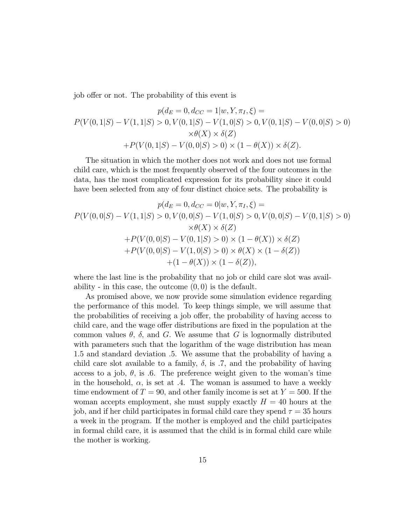job offer or not. The probability of this event is

$$
p(d_E = 0, d_{CC} = 1|w, Y, \pi_I, \xi) =
$$
  
\n
$$
P(V(0, 1|S) - V(1, 1|S) > 0, V(0, 1|S) - V(1, 0|S) > 0, V(0, 1|S) - V(0, 0|S) > 0)
$$
  
\n
$$
\times \theta(X) \times \delta(Z)
$$
  
\n
$$
+ P(V(0, 1|S) - V(0, 0|S) > 0) \times (1 - \theta(X)) \times \delta(Z).
$$

The situation in which the mother does not work and does not use formal child care, which is the most frequently observed of the four outcomes in the data, has the most complicated expression for its probability since it could have been selected from any of four distinct choice sets. The probability is

$$
p(d_E = 0, d_{CC} = 0|w, Y, \pi_I, \xi) =
$$
  
\n
$$
P(V(0,0|S) - V(1,1|S) > 0, V(0,0|S) - V(1,0|S) > 0, V(0,0|S) - V(0,1|S) > 0)
$$
  
\n
$$
\times \theta(X) \times \delta(Z)
$$
  
\n
$$
+ P(V(0,0|S) - V(0,1|S) > 0) \times (1 - \theta(X)) \times \delta(Z)
$$
  
\n
$$
+ P(V(0,0|S) - V(1,0|S) > 0) \times \theta(X) \times (1 - \delta(Z))
$$
  
\n
$$
+ (1 - \theta(X)) \times (1 - \delta(Z)),
$$

where the last line is the probability that no job or child care slot was availability - in this case, the outcome  $(0, 0)$  is the default.

As promised above, we now provide some simulation evidence regarding the performance of this model. To keep things simple, we will assume that the probabilities of receiving a job offer, the probability of having access to child care, and the wage offer distributions are fixed in the population at the common values  $\theta$ ,  $\delta$ , and G. We assume that G is lognormally distributed with parameters such that the logarithm of the wage distribution has mean 1.5 and standard deviation .5. We assume that the probability of having a child care slot available to a family,  $\delta$ , is .7, and the probability of having access to a job,  $\theta$ , is .6. The preference weight given to the woman's time in the household,  $\alpha$ , is set at .4. The woman is assumed to have a weekly time endowment of  $T = 90$ , and other family income is set at  $Y = 500$ . If the woman accepts employment, she must supply exactly  $H = 40$  hours at the job, and if her child participates in formal child care they spend  $\tau = 35$  hours a week in the program. If the mother is employed and the child participates in formal child care, it is assumed that the child is in formal child care while the mother is working.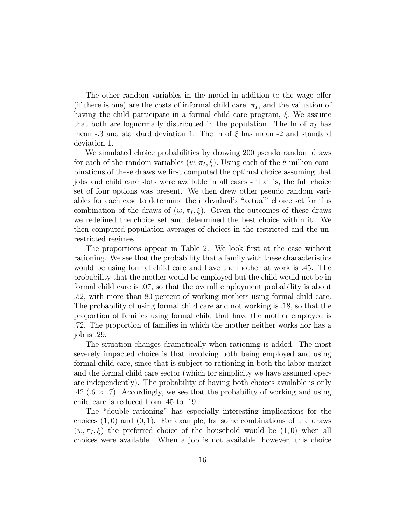The other random variables in the model in addition to the wage offer (if there is one) are the costs of informal child care,  $\pi_I$ , and the valuation of having the child participate in a formal child care program,  $\xi$ . We assume that both are lognormally distributed in the population. The ln of  $\pi_I$  has mean -.3 and standard deviation 1. The ln of  $\xi$  has mean -2 and standard deviation 1.

We simulated choice probabilities by drawing 200 pseudo random draws for each of the random variables  $(w, \pi_I, \xi)$ . Using each of the 8 million combinations of these draws we first computed the optimal choice assuming that jobs and child care slots were available in all cases - that is, the full choice set of four options was present. We then drew other pseudo random variables for each case to determine the individual's "actual" choice set for this combination of the draws of  $(w, \pi_I, \xi)$ . Given the outcomes of these draws we redefined the choice set and determined the best choice within it. We then computed population averages of choices in the restricted and the unrestricted regimes.

The proportions appear in Table 2. We look first at the case without rationing. We see that the probability that a family with these characteristics would be using formal child care and have the mother at work is .45. The probability that the mother would be employed but the child would not be in formal child care is .07, so that the overall employment probability is about .52, with more than 80 percent of working mothers using formal child care. The probability of using formal child care and not working is .18, so that the proportion of families using formal child that have the mother employed is .72. The proportion of families in which the mother neither works nor has a job is .29.

The situation changes dramatically when rationing is added. The most severely impacted choice is that involving both being employed and using formal child care, since that is subject to rationing in both the labor market and the formal child care sector (which for simplicity we have assumed operate independently). The probability of having both choices available is only .42 (.6  $\times$  .7). Accordingly, we see that the probability of working and using child care is reduced from .45 to .19.

The "double rationing" has especially interesting implications for the choices  $(1,0)$  and  $(0,1)$ . For example, for some combinations of the draws  $(w, \pi_I, \xi)$  the preferred choice of the household would be  $(1, 0)$  when all choices were available. When a job is not available, however, this choice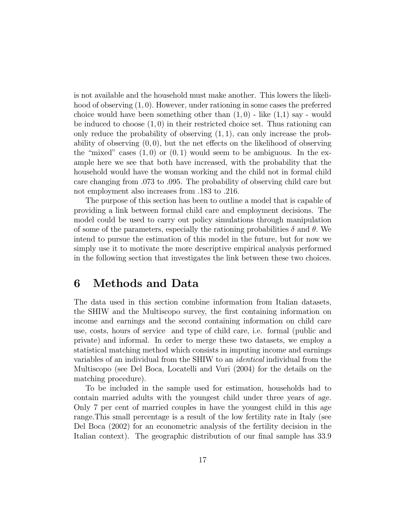is not available and the household must make another. This lowers the likelihood of observing (1, 0). However, under rationing in some cases the preferred choice would have been something other than  $(1, 0)$  - like  $(1, 1)$  say - would be induced to choose  $(1,0)$  in their restricted choice set. Thus rationing can only reduce the probability of observing  $(1, 1)$ , can only increase the probability of observing  $(0, 0)$ , but the net effects on the likelihood of observing the "mixed" cases  $(1,0)$  or  $(0,1)$  would seem to be ambiguous. In the example here we see that both have increased, with the probability that the household would have the woman working and the child not in formal child care changing from .073 to .095. The probability of observing child care but not employment also increases from .183 to .216.

The purpose of this section has been to outline a model that is capable of providing a link between formal child care and employment decisions. The model could be used to carry out policy simulations through manipulation of some of the parameters, especially the rationing probabilities  $\delta$  and  $\theta$ . We intend to pursue the estimation of this model in the future, but for now we simply use it to motivate the more descriptive empirical analysis performed in the following section that investigates the link between these two choices.

## 6 Methods and Data

The data used in this section combine information from Italian datasets, the SHIW and the Multiscopo survey, the first containing information on income and earnings and the second containing information on child care use, costs, hours of service and type of child care, i.e. formal (public and private) and informal. In order to merge these two datasets, we employ a statistical matching method which consists in imputing income and earnings variables of an individual from the SHIW to an identical individual from the Multiscopo (see Del Boca, Locatelli and Vuri (2004) for the details on the matching procedure).

To be included in the sample used for estimation, households had to contain married adults with the youngest child under three years of age. Only 7 per cent of married couples in have the youngest child in this age range.This small percentage is a result of the low fertility rate in Italy (see Del Boca (2002) for an econometric analysis of the fertility decision in the Italian context). The geographic distribution of our final sample has 33.9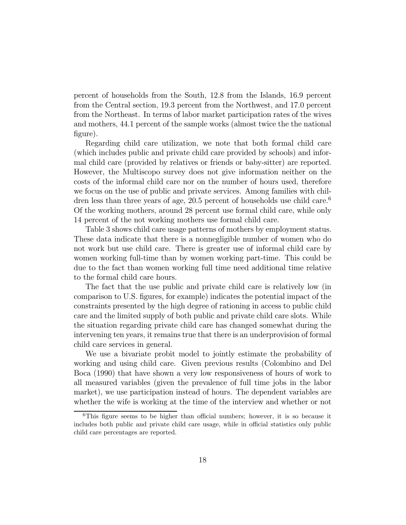percent of households from the South, 12.8 from the Islands, 16.9 percent from the Central section, 19.3 percent from the Northwest, and 17.0 percent from the Northeast. In terms of labor market participation rates of the wives and mothers, 44.1 percent of the sample works (almost twice the the national figure).

Regarding child care utilization, we note that both formal child care (which includes public and private child care provided by schools) and informal child care (provided by relatives or friends or baby-sitter) are reported. However, the Multiscopo survey does not give information neither on the costs of the informal child care nor on the number of hours used, therefore we focus on the use of public and private services. Among families with children less than three years of age, 20.5 percent of households use child care.<sup>6</sup> Of the working mothers, around 28 percent use formal child care, while only 14 percent of the not working mothers use formal child care.

Table 3 shows child care usage patterns of mothers by employment status. These data indicate that there is a nonnegligible number of women who do not work but use child care. There is greater use of informal child care by women working full-time than by women working part-time. This could be due to the fact than women working full time need additional time relative to the formal child care hours.

The fact that the use public and private child care is relatively low (in comparison to U.S. figures, for example) indicates the potential impact of the constraints presented by the high degree of rationing in access to public child care and the limited supply of both public and private child care slots. While the situation regarding private child care has changed somewhat during the intervening ten years, it remains true that there is an underprovision of formal child care services in general.

We use a bivariate probit model to jointly estimate the probability of working and using child care. Given previous results (Colombino and Del Boca (1990) that have shown a very low responsiveness of hours of work to all measured variables (given the prevalence of full time jobs in the labor market), we use participation instead of hours. The dependent variables are whether the wife is working at the time of the interview and whether or not

<sup>&</sup>lt;sup>6</sup>This figure seems to be higher than official numbers; however, it is so because it includes both public and private child care usage, while in official statistics only public child care percentages are reported.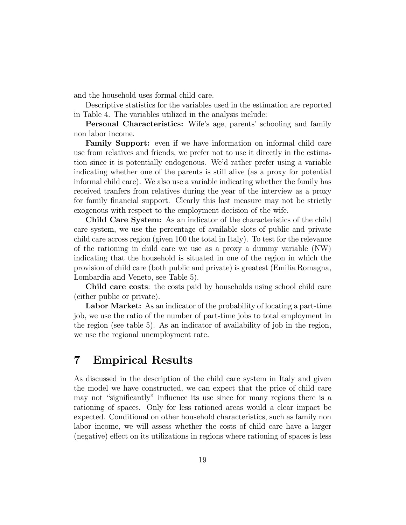and the household uses formal child care.

Descriptive statistics for the variables used in the estimation are reported in Table 4. The variables utilized in the analysis include:

Personal Characteristics: Wife's age, parents' schooling and family non labor income.

Family Support: even if we have information on informal child care use from relatives and friends, we prefer not to use it directly in the estimation since it is potentially endogenous. We'd rather prefer using a variable indicating whether one of the parents is still alive (as a proxy for potential informal child care). We also use a variable indicating whether the family has received tranfers from relatives during the year of the interview as a proxy for family financial support. Clearly this last measure may not be strictly exogenous with respect to the employment decision of the wife.

Child Care System: As an indicator of the characteristics of the child care system, we use the percentage of available slots of public and private child care across region (given 100 the total in Italy). To test for the relevance of the rationing in child care we use as a proxy a dummy variable (NW) indicating that the household is situated in one of the region in which the provision of child care (both public and private) is greatest (Emilia Romagna, Lombardia and Veneto, see Table 5).

Child care costs: the costs paid by households using school child care (either public or private).

Labor Market: As an indicator of the probability of locating a part-time job, we use the ratio of the number of part-time jobs to total employment in the region (see table 5). As an indicator of availability of job in the region, we use the regional unemployment rate.

## 7 Empirical Results

As discussed in the description of the child care system in Italy and given the model we have constructed, we can expect that the price of child care may not "significantly" influence its use since for many regions there is a rationing of spaces. Only for less rationed areas would a clear impact be expected. Conditional on other household characteristics, such as family non labor income, we will assess whether the costs of child care have a larger (negative) effect on its utilizations in regions where rationing of spaces is less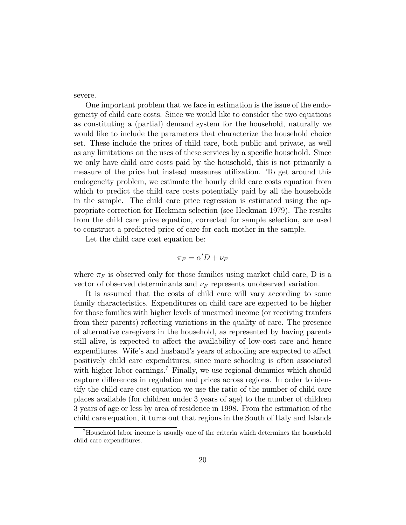severe.

One important problem that we face in estimation is the issue of the endogeneity of child care costs. Since we would like to consider the two equations as constituting a (partial) demand system for the household, naturally we would like to include the parameters that characterize the household choice set. These include the prices of child care, both public and private, as well as any limitations on the uses of these services by a specific household. Since we only have child care costs paid by the household, this is not primarily a measure of the price but instead measures utilization. To get around this endogeneity problem, we estimate the hourly child care costs equation from which to predict the child care costs potentially paid by all the households in the sample. The child care price regression is estimated using the appropriate correction for Heckman selection (see Heckman 1979). The results from the child care price equation, corrected for sample selection, are used to construct a predicted price of care for each mother in the sample.

Let the child care cost equation be:

$$
\pi_F = \alpha' D + \nu_F
$$

where  $\pi_F$  is observed only for those families using market child care, D is a vector of observed determinants and  $\nu_F$  represents unobserved variation.

It is assumed that the costs of child care will vary according to some family characteristics. Expenditures on child care are expected to be higher for those families with higher levels of unearned income (or receiving tranfers from their parents) reflecting variations in the quality of care. The presence of alternative caregivers in the household, as represented by having parents still alive, is expected to affect the availability of low-cost care and hence expenditures. Wife's and husband's years of schooling are expected to affect positively child care expenditures, since more schooling is often associated with higher labor earnings.<sup>7</sup> Finally, we use regional dummies which should capture differences in regulation and prices across regions. In order to identify the child care cost equation we use the ratio of the number of child care places available (for children under 3 years of age) to the number of children 3 years of age or less by area of residence in 1998. From the estimation of the child care equation, it turns out that regions in the South of Italy and Islands

<sup>7</sup>Household labor income is usually one of the criteria which determines the household child care expenditures.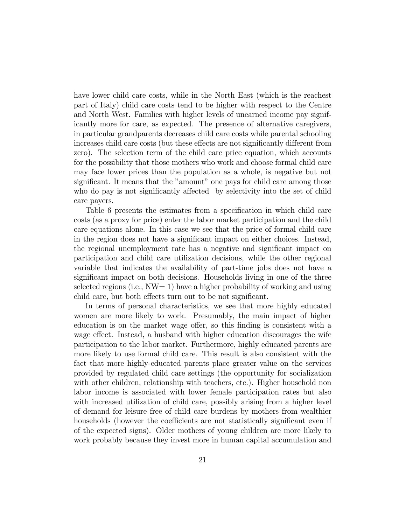have lower child care costs, while in the North East (which is the reachest part of Italy) child care costs tend to be higher with respect to the Centre and North West. Families with higher levels of unearned income pay significantly more for care, as expected. The presence of alternative caregivers, in particular grandparents decreases child care costs while parental schooling increases child care costs (but these effects are not significantly different from zero). The selection term of the child care price equation, which accounts for the possibility that those mothers who work and choose formal child care may face lower prices than the population as a whole, is negative but not significant. It means that the "amount" one pays for child care among those who do pay is not significantly affected by selectivity into the set of child care payers.

Table 6 presents the estimates from a specification in which child care costs (as a proxy for price) enter the labor market participation and the child care equations alone. In this case we see that the price of formal child care in the region does not have a significant impact on either choices. Instead, the regional unemployment rate has a negative and significant impact on participation and child care utilization decisions, while the other regional variable that indicates the availability of part-time jobs does not have a significant impact on both decisions. Households living in one of the three selected regions (i.e., NW= 1) have a higher probability of working and using child care, but both effects turn out to be not significant.

In terms of personal characteristics, we see that more highly educated women are more likely to work. Presumably, the main impact of higher education is on the market wage offer, so this finding is consistent with a wage effect. Instead, a husband with higher education discourages the wife participation to the labor market. Furthermore, highly educated parents are more likely to use formal child care. This result is also consistent with the fact that more highly-educated parents place greater value on the services provided by regulated child care settings (the opportunity for socialization with other children, relationship with teachers, etc.). Higher household non labor income is associated with lower female participation rates but also with increased utilization of child care, possibly arising from a higher level of demand for leisure free of child care burdens by mothers from wealthier households (however the coefficients are not statistically significant even if of the expected signs). Older mothers of young children are more likely to work probably because they invest more in human capital accumulation and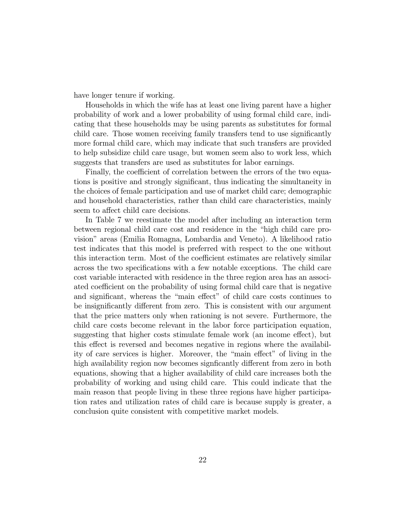have longer tenure if working.

Households in which the wife has at least one living parent have a higher probability of work and a lower probability of using formal child care, indicating that these households may be using parents as substitutes for formal child care. Those women receiving family transfers tend to use significantly more formal child care, which may indicate that such transfers are provided to help subsidize child care usage, but women seem also to work less, which suggests that transfers are used as substitutes for labor earnings.

Finally, the coefficient of correlation between the errors of the two equations is positive and strongly significant, thus indicating the simultaneity in the choices of female participation and use of market child care; demographic and household characteristics, rather than child care characteristics, mainly seem to affect child care decisions.

In Table 7 we reestimate the model after including an interaction term between regional child care cost and residence in the "high child care provision" areas (Emilia Romagna, Lombardia and Veneto). A likelihood ratio test indicates that this model is preferred with respect to the one without this interaction term. Most of the coefficient estimates are relatively similar across the two specifications with a few notable exceptions. The child care cost variable interacted with residence in the three region area has an associated coefficient on the probability of using formal child care that is negative and significant, whereas the "main effect" of child care costs continues to be insignificantly different from zero. This is consistent with our argument that the price matters only when rationing is not severe. Furthermore, the child care costs become relevant in the labor force participation equation, suggesting that higher costs stimulate female work (an income effect), but this effect is reversed and becomes negative in regions where the availability of care services is higher. Moreover, the "main effect" of living in the high availability region now becomes signficantly different from zero in both equations, showing that a higher availability of child care increases both the probability of working and using child care. This could indicate that the main reason that people living in these three regions have higher participation rates and utilization rates of child care is because supply is greater, a conclusion quite consistent with competitive market models.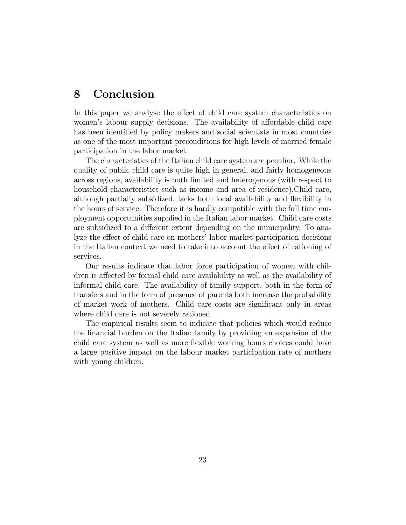## 8 Conclusion

In this paper we analyse the effect of child care system characteristics on women's labour supply decisions. The availability of affordable child care has been identified by policy makers and social scientists in most countries as one of the most important preconditions for high levels of married female participation in the labor market.

The characteristics of the Italian child care system are peculiar. While the quality of public child care is quite high in general, and fairly homogeneous across regions, availability is both limited and heterogenous (with respect to household characteristics such as income and area of residence).Child care, although partially subsidized, lacks both local availability and flexibility in the hours of service. Therefore it is hardly compatible with the full time employment opportunities supplied in the Italian labor market. Child care costs are subsidized to a different extent depending on the municipality. To analyze the effect of child care on mothers' labor market participation decisions in the Italian context we need to take into account the effect of rationing of services.

Our results indicate that labor force participation of women with children is affected by formal child care availability as well as the availability of informal child care. The availability of family support, both in the form of transfers and in the form of presence of parents both increase the probability of market work of mothers. Child care costs are significant only in areas where child care is not severely rationed.

The empirical results seem to indicate that policies which would reduce the financial burden on the Italian family by providing an expansion of the child care system as well as more flexible working hours choices could have a large positive impact on the labour market participation rate of mothers with young children.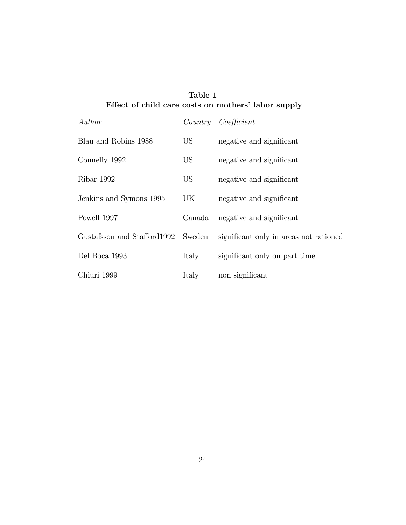#### Table 1 Effect of child care costs on mothers' labor supply

| Author                      |                 | Country Coefficient                    |
|-----------------------------|-----------------|----------------------------------------|
| Blau and Robins 1988        | US <sup>-</sup> | negative and significant               |
| Connelly 1992               | US <sup>-</sup> | negative and significant               |
| Ribar 1992                  | US <sup>-</sup> | negative and significant               |
| Jenkins and Symons 1995     | UK              | negative and significant               |
| Powell 1997                 | Canada          | negative and significant               |
| Gustafsson and Stafford1992 | Sweden          | significant only in areas not rationed |
| Del Boca 1993               | Italy           | significant only on part time          |
| Chiuri 1999                 | Italy           | non significant                        |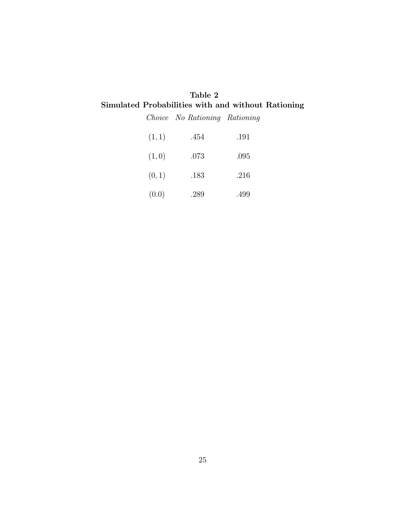#### Table 2 Simulated Probabilities with and without Rationing

Choice No Rationing Rationing

| (1, 1) | .454 | .191 |
|--------|------|------|
| (1,0)  | .073 | .095 |
| (0,1)  | .183 | .216 |
| (0.0)  | .289 | .499 |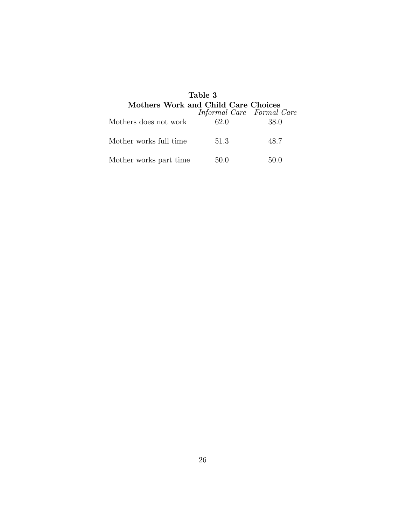| Table 3<br>Mothers Work and Child Care Choices |                           |      |  |
|------------------------------------------------|---------------------------|------|--|
|                                                | Informal Care Formal Care |      |  |
| Mothers does not work                          | 62.0                      | 38.0 |  |
| Mother works full time                         | 51.3                      | 48.7 |  |
| Mother works part time                         | 50.0                      | 50.0 |  |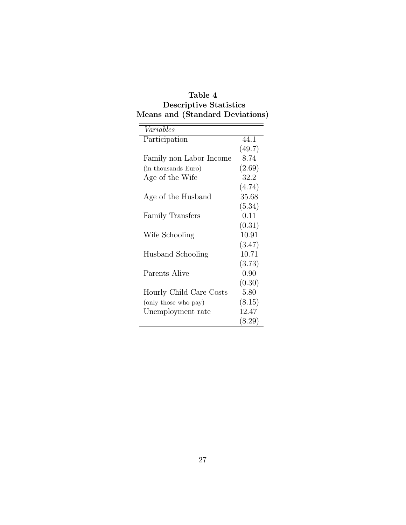| Table 4                       |                                 |  |  |
|-------------------------------|---------------------------------|--|--|
| <b>Descriptive Statistics</b> |                                 |  |  |
|                               | Means and (Standard Deviations) |  |  |

| Variables               |        |
|-------------------------|--------|
| Participation           | 44.1   |
|                         | (49.7) |
| Family non Labor Income | 8.74   |
| (in thousands Euro)     | (2.69) |
| Age of the Wife         | 32.2   |
|                         | (4.74) |
| Age of the Husband      | 35.68  |
|                         | (5.34) |
| Family Transfers        | 0.11   |
|                         | (0.31) |
| Wife Schooling          | 10.91  |
|                         | (3.47) |
| Husband Schooling       | 10.71  |
|                         | (3.73) |
| Parents Alive           | 0.90   |
|                         | (0.30) |
| Hourly Child Care Costs | 5.80   |
| (only those who pay)    | (8.15) |
| Unemployment rate       | 12.47  |
|                         | (8.29) |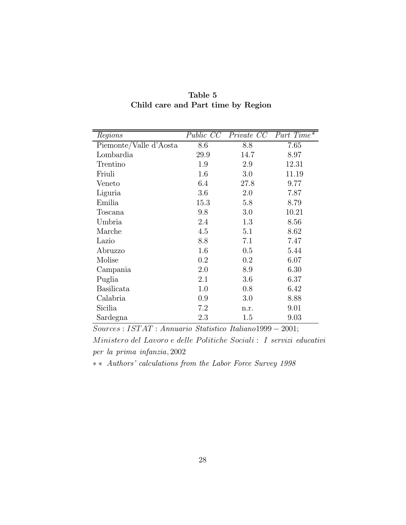| Regions                | Public CC | Private CC | Part Time* |
|------------------------|-----------|------------|------------|
| Piemonte/Valle d'Aosta | 8.6       | 8.8        | 7.65       |
| Lombardia              | 29.9      | 14.7       | 8.97       |
| Trentino               | 1.9       | 2.9        | 12.31      |
| Friuli                 | 1.6       | 3.0        | 11.19      |
| Veneto                 | 6.4       | 27.8       | 9.77       |
| Liguria                | 3.6       | 2.0        | 7.87       |
| Emilia                 | 15.3      | 5.8        | 8.79       |
| Toscana                | 9.8       | 3.0        | 10.21      |
| Umbria                 | 2.4       | 1.3        | 8.56       |
| Marche                 | 4.5       | 5.1        | 8.62       |
| Lazio                  | 8.8       | 7.1        | 7.47       |
| Abruzzo                | 1.6       | 0.5        | 5.44       |
| Molise                 | 0.2       | 0.2        | 6.07       |
| Campania               | 2.0       | 8.9        | 6.30       |
| Puglia                 | 2.1       | 3.6        | 6.37       |
| <b>Basilicata</b>      | 1.0       | 0.8        | 6.42       |
| Calabria               | 0.9       | 3.0        | 8.88       |
| Sicilia                | 7.2       | n.r.       | 9.01       |
| Sardegna               | 2.3       | 1.5        | 9.03       |

Table 5 Child care and Part time by Region

Sources : IST AT : Annuario Statistico Italiano1999 − 2001;

Ministero del Lavoro e delle Politiche Sociali : I servizi educativi per la prima infanzia, 2002

∗ ∗ Authors' calculations from the Labor Force Survey 1998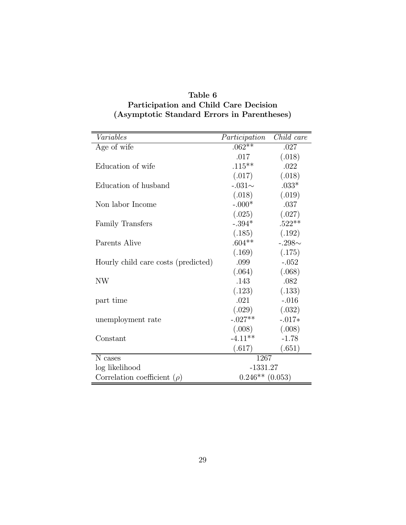| Variables                           | Participation     | Child care  |
|-------------------------------------|-------------------|-------------|
| Age of wife                         | $.062**$          | .027        |
|                                     | .017              | (.018)      |
| Education of wife                   | $.115***$         | .022        |
|                                     | (.017)            | (.018)      |
| Education of husband                | $-.031\sim$       | $.033*$     |
|                                     | (.018)            | (.019)      |
| Non labor Income                    | $-.000*$          | .037        |
|                                     | (.025)            | (.027)      |
| Family Transfers                    | $-.394*$          | $.522**$    |
|                                     | (.185)            | (.192)      |
| Parents Alive                       | $.604**$          | $-.298\sim$ |
|                                     | (.169)            | (.175)      |
| Hourly child care costs (predicted) | .099              | $-.052$     |
|                                     | (.064)            | (.068)      |
| NW                                  | .143              | .082        |
|                                     | (.123)            | (.133)      |
| part time                           | .021              | $-.016$     |
|                                     | (.029)            | (.032)      |
| unemployment rate                   | $-.027**$         | $-.017*$    |
|                                     | (.008)            | (.008)      |
| Constant                            | $-4.11**$         | $-1.78$     |
|                                     | (.617)            | (.651)      |
| N cases                             | 1267              |             |
| log likelihood                      | $-1331.27$        |             |
| Correlation coefficient $(\rho)$    | $0.246**$ (0.053) |             |

#### Table 6 Participation and Child Care Decision (Asymptotic Standard Errors in Parentheses)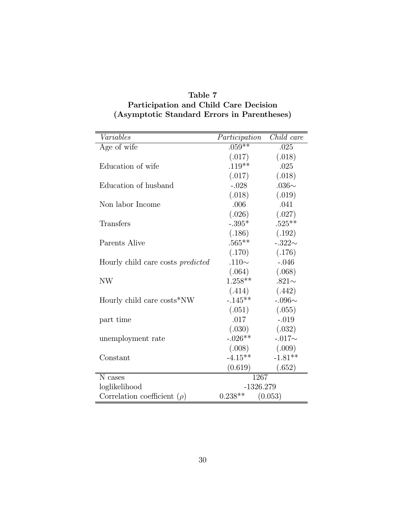| Variables                                | Participation        | Child care  |
|------------------------------------------|----------------------|-------------|
| Age of wife                              | $.059**$             | .025        |
|                                          | (.017)               | (.018)      |
| Education of wife                        | $.119**$             | .025        |
|                                          | (.017)               | (.018)      |
| Education of husband                     | $-.028$              | $.036\sim$  |
|                                          | (.018)               | (.019)      |
| Non labor Income                         | .006                 | .041        |
|                                          | (.026)               | (.027)      |
| <b>Transfers</b>                         | $-.395*$             | $.525**$    |
|                                          | (.186)               | (.192)      |
| <b>Parents Alive</b>                     | $.565**$             | $-.322\sim$ |
|                                          | (.170)               | (.176)      |
| Hourly child care costs <i>predicted</i> | .110 $\sim$          | $-.046$     |
|                                          | (.064)               | (.068)      |
| <b>NW</b>                                | $1.258**$            | .821 $\sim$ |
|                                          | (.414)               | (.442)      |
| Hourly child care costs*NW               | $-.145**$            | $-.096\sim$ |
|                                          | (.051)               | (.055)      |
| part time                                | .017                 | $-.019$     |
|                                          | (.030)               | (.032)      |
| unemployment rate                        | $-.026**$            | $-.017\sim$ |
|                                          | (.008)               | (.009)      |
| Constant                                 | $-4.15**$            | $-1.81**$   |
|                                          | (0.619)              | (.652)      |
| N cases                                  | 1267                 |             |
| loglikelihood                            | $-1326.279$          |             |
| Correlation coefficient $(\rho)$         | $0.238**$<br>(0.053) |             |

#### Table 7 Participation and Child Care Decision (Asymptotic Standard Errors in Parentheses)

 $\equiv$ 

 $\overline{a}$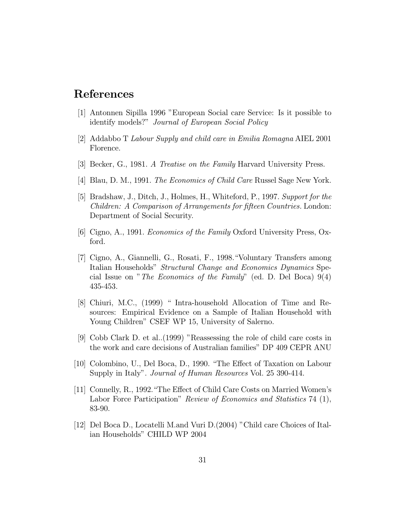# References

- [1] Antonnen Sipilla 1996 "European Social care Service: Is it possible to identify models?" Journal of European Social Policy
- [2] Addabbo T Labour Supply and child care in Emilia Romagna AIEL 2001 Florence.
- [3] Becker, G., 1981. A Treatise on the Family Harvard University Press.
- [4] Blau, D. M., 1991. The Economics of Child Care Russel Sage New York.
- [5] Bradshaw, J., Ditch, J., Holmes, H., Whiteford, P., 1997. Support for the Children: A Comparison of Arrangements for fifteen Countries. London: Department of Social Security.
- [6] Cigno, A., 1991. Economics of the Family Oxford University Press, Oxford.
- [7] Cigno, A., Giannelli, G., Rosati, F., 1998."Voluntary Transfers among Italian Households" Structural Change and Economics Dynamics Special Issue on "The Economics of the Family" (ed. D. Del Boca) 9(4) 435-453.
- [8] Chiuri, M.C., (1999) " Intra-household Allocation of Time and Resources: Empirical Evidence on a Sample of Italian Household with Young Children" CSEF WP 15, University of Salerno.
- [9] Cobb Clark D. et al..(1999) "Reassessing the role of child care costs in the work and care decisions of Australian families" DP 409 CEPR ANU
- [10] Colombino, U., Del Boca, D., 1990. "The Effect of Taxation on Labour Supply in Italy". *Journal of Human Resources* Vol. 25 390-414.
- [11] Connelly, R., 1992."The Effect of Child Care Costs on Married Women's Labor Force Participation" Review of Economics and Statistics 74 (1), 83-90.
- [12] Del Boca D., Locatelli M.and Vuri D.(2004) "Child care Choices of Italian Households" CHILD WP 2004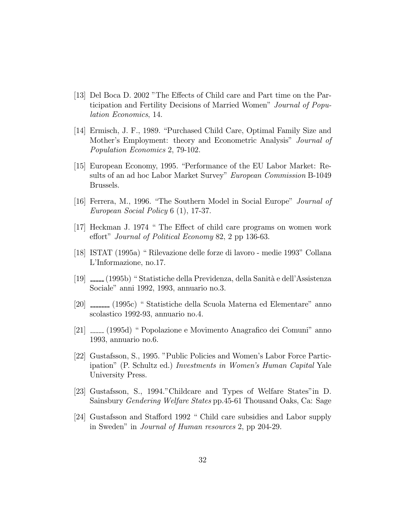- [13] Del Boca D. 2002 "The Effects of Child care and Part time on the Participation and Fertility Decisions of Married Women" Journal of Population Economics, 14.
- [14] Ermisch, J. F., 1989. "Purchased Child Care, Optimal Family Size and Mother's Employment: theory and Econometric Analysis" Journal of Population Economics 2, 79-102.
- [15] European Economy, 1995. "Performance of the EU Labor Market: Results of an ad hoc Labor Market Survey" European Commission B-1049 Brussels.
- [16] Ferrera, M., 1996. "The Southern Model in Social Europe" Journal of European Social Policy 6 (1), 17-37.
- [17] Heckman J. 1974 " The Effect of child care programs on women work effort" Journal of Political Economy 82, 2 pp 136-63.
- [18] ISTAT (1995a) " Rilevazione delle forze di lavoro medie 1993" Collana L'Informazione, no.17.
- [19]  $\frac{19}{2}$  (1995b) " Statistiche della Previdenza, della Sanità e dell'Assistenza Sociale" anni 1992, 1993, annuario no.3.
- [20] (1995c) " Statistiche della Scuola Materna ed Elementare" anno scolastico 1992-93, annuario no.4.
- [21] (1995d) " Popolazione e Movimento Anagrafico dei Comuni" anno 1993, annuario no.6.
- [22] Gustafsson, S., 1995. "Public Policies and Women's Labor Force Participation" (P. Schultz ed.) Investments in Women's Human Capital Yale University Press.
- [23] Gustafsson, S., 1994."Childcare and Types of Welfare States"in D. Sainsbury Gendering Welfare States pp.45-61 Thousand Oaks, Ca: Sage
- [24] Gustafsson and Stafford 1992 " Child care subsidies and Labor supply in Sweden" in Journal of Human resources 2, pp 204-29.